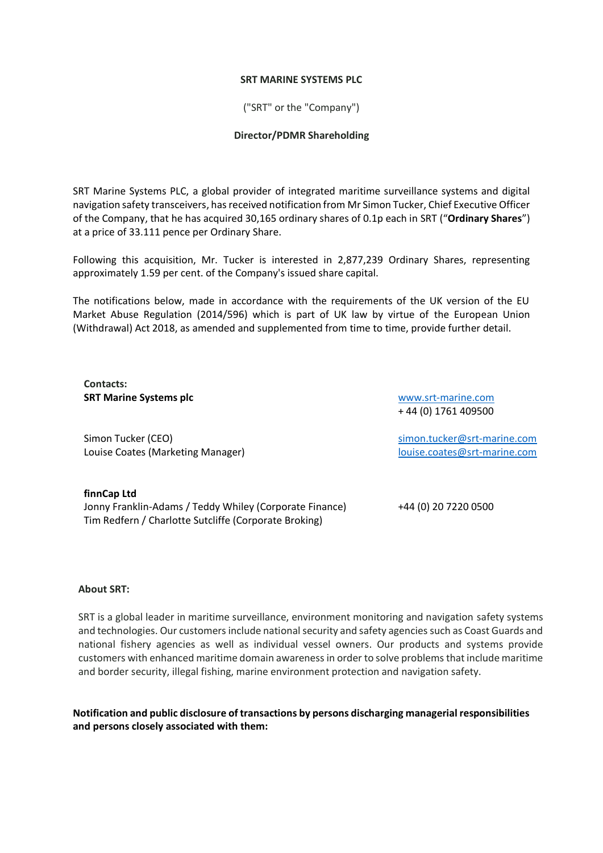## **SRT MARINE SYSTEMS PLC**

("SRT" or the "Company")

## **Director/PDMR Shareholding**

SRT Marine Systems PLC, a global provider of integrated maritime surveillance systems and digital navigation safety transceivers, has received notification from Mr Simon Tucker, Chief Executive Officer of the Company, that he has acquired 30,165 ordinary shares of 0.1p each in SRT ("**Ordinary Shares**") at a price of 33.111 pence per Ordinary Share.

Following this acquisition, Mr. Tucker is interested in 2,877,239 Ordinary Shares, representing approximately 1.59 per cent. of the Company's issued share capital.

The notifications below, made in accordance with the requirements of the UK version of the EU Market Abuse Regulation (2014/596) which is part of UK law by virtue of the European Union (Withdrawal) Act 2018, as amended and supplemented from time to time, provide further detail.

**Contacts: SRT Marine Systems plc**

Simon Tucker (CEO) Louise Coates (Marketing Manager)

[www.srt-marine.com](http://www.srt-marine.com/)  + 44 (0) 1761 409500

[simon.tucker@srt-marine.com](mailto:simon.tucker@srt-marine.com) [louise.coates@srt-marine.com](mailto:louise.coates@srt-marine.com)

**finnCap Ltd** Jonny Franklin-Adams / Teddy Whiley (Corporate Finance) +44 (0) 20 7220 0500 Tim Redfern / Charlotte Sutcliffe (Corporate Broking)

## **About SRT:**

SRT is a global leader in maritime surveillance, environment monitoring and navigation safety systems and technologies. Our customers include national security and safety agencies such as Coast Guards and national fishery agencies as well as individual vessel owners. Our products and systems provide customers with enhanced maritime domain awareness in order to solve problems that include maritime and border security, illegal fishing, marine environment protection and navigation safety.

**Notification and public disclosure of transactions by persons discharging managerial responsibilities and persons closely associated with them:**